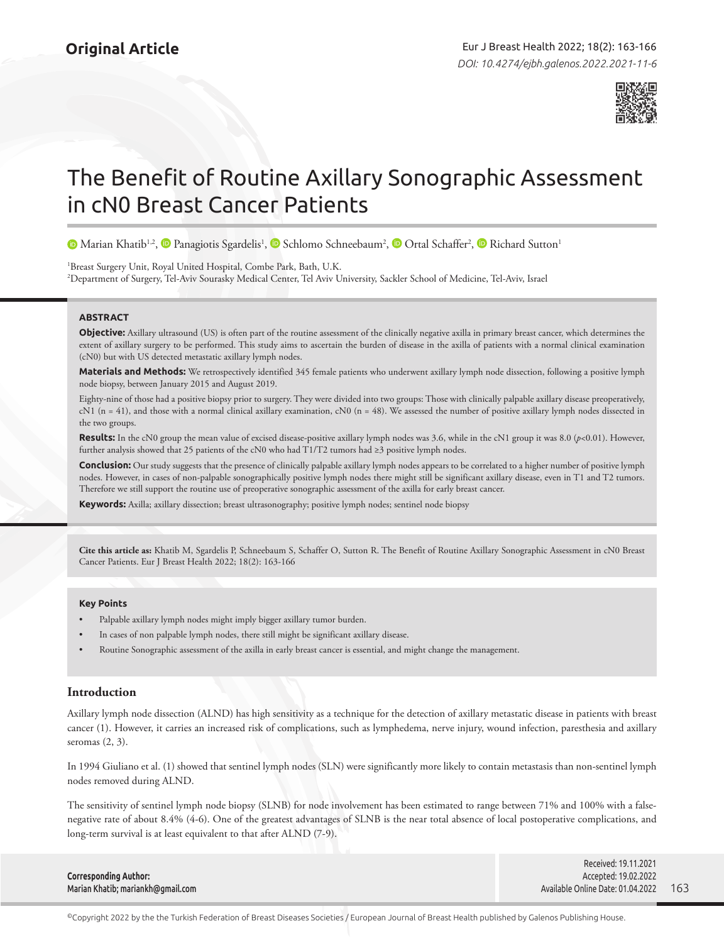

# The Benefit of Routine Axillary Sonographic Assessment in cN0 Breast Cancer Patients

MarianKhatib<sup>1,2</sup>[,](https://orcid.org/0000-0001-7560-5635) **I** Panagiotis Sgardelis<sup>1</sup>, **I** Schlomo Schneebaum<sup>2</sup>, **I** [O](https://orcid.org/0000-0003-2464-5586)rtal Schaffer<sup>2</sup>, **I** Richard Sutton<sup>1</sup>

1 Breast Surgery Unit, Royal United Hospital, Combe Park, Bath, U.K. 2 Department of Surgery, Tel-Aviv Sourasky Medical Center, Tel Aviv University, Sackler School of Medicine, Tel-Aviv, Israel

#### **ABSTRACT**

**Objective:** Axillary ultrasound (US) is often part of the routine assessment of the clinically negative axilla in primary breast cancer, which determines the extent of axillary surgery to be performed. This study aims to ascertain the burden of disease in the axilla of patients with a normal clinical examination (cN0) but with US detected metastatic axillary lymph nodes.

**Materials and Methods:** We retrospectively identified 345 female patients who underwent axillary lymph node dissection, following a positive lymph node biopsy, between January 2015 and August 2019.

Eighty-nine of those had a positive biopsy prior to surgery. They were divided into two groups: Those with clinically palpable axillary disease preoperatively,  $cN1$  (n = 41), and those with a normal clinical axillary examination,  $cN0$  (n = 48). We assessed the number of positive axillary lymph nodes dissected in the two groups.

**Results:** In the cN0 group the mean value of excised disease-positive axillary lymph nodes was 3.6, while in the cN1 group it was 8.0 (*p*<0.01). However, further analysis showed that 25 patients of the cN0 who had T1/T2 tumors had ≥3 positive lymph nodes.

**Conclusion:** Our study suggests that the presence of clinically palpable axillary lymph nodes appears to be correlated to a higher number of positive lymph nodes. However, in cases of non-palpable sonographically positive lymph nodes there might still be significant axillary disease, even in T1 and T2 tumors. Therefore we still support the routine use of preoperative sonographic assessment of the axilla for early breast cancer.

**Keywords:** Axilla; axillary dissection; breast ultrasonography; positive lymph nodes; sentinel node biopsy

**Cite this article as:** Khatib M, Sgardelis P, Schneebaum S, Schaffer O, Sutton R. The Benefit of Routine Axillary Sonographic Assessment in cN0 Breast Cancer Patients. Eur J Breast Health 2022; 18(2): 163-166

#### **Key Points**

- Palpable axillary lymph nodes might imply bigger axillary tumor burden.
- In cases of non palpable lymph nodes, there still might be significant axillary disease.
- Routine Sonographic assessment of the axilla in early breast cancer is essential, and might change the management.

## **Introduction**

Axillary lymph node dissection (ALND) has high sensitivity as a technique for the detection of axillary metastatic disease in patients with breast cancer (1). However, it carries an increased risk of complications, such as lymphedema, nerve injury, wound infection, paresthesia and axillary seromas (2, 3).

In 1994 Giuliano et al. (1) showed that sentinel lymph nodes (SLN) were significantly more likely to contain metastasis than non-sentinel lymph nodes removed during ALND.

The sensitivity of sentinel lymph node biopsy (SLNB) for node involvement has been estimated to range between 71% and 100% with a falsenegative rate of about 8.4% (4-6). One of the greatest advantages of SLNB is the near total absence of local postoperative complications, and long-term survival is at least equivalent to that after ALND (7-9).

| Accepted: 19.02.2022              |                      |
|-----------------------------------|----------------------|
| Available Online Date: 01.04.2022 | - 163                |
|                                   | Received: 19.11.2021 |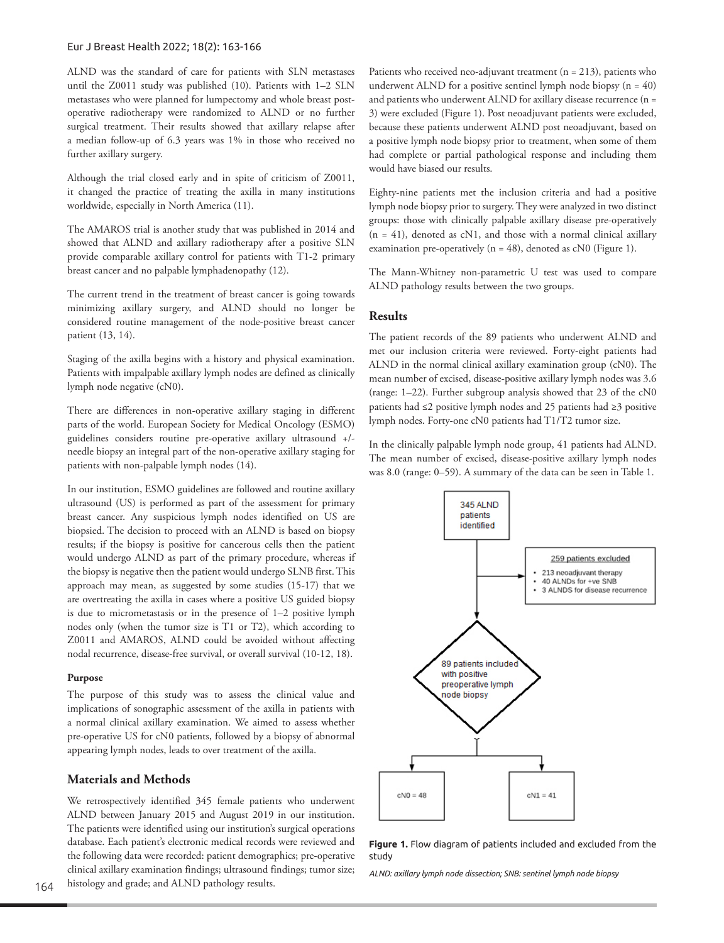#### Eur J Breast Health 2022; 18(2): 163-166

ALND was the standard of care for patients with SLN metastases until the Z0011 study was published (10). Patients with 1–2 SLN metastases who were planned for lumpectomy and whole breast postoperative radiotherapy were randomized to ALND or no further surgical treatment. Their results showed that axillary relapse after a median follow-up of 6.3 years was 1% in those who received no further axillary surgery.

Although the trial closed early and in spite of criticism of Z0011, it changed the practice of treating the axilla in many institutions worldwide, especially in North America (11).

The AMAROS trial is another study that was published in 2014 and showed that ALND and axillary radiotherapy after a positive SLN provide comparable axillary control for patients with T1-2 primary breast cancer and no palpable lymphadenopathy (12).

The current trend in the treatment of breast cancer is going towards minimizing axillary surgery, and ALND should no longer be considered routine management of the node-positive breast cancer patient (13, 14).

Staging of the axilla begins with a history and physical examination. Patients with impalpable axillary lymph nodes are defined as clinically lymph node negative (cN0).

There are differences in non-operative axillary staging in different parts of the world. European Society for Medical Oncology (ESMO) guidelines considers routine pre-operative axillary ultrasound +/ needle biopsy an integral part of the non-operative axillary staging for patients with non-palpable lymph nodes (14).

In our institution, ESMO guidelines are followed and routine axillary ultrasound (US) is performed as part of the assessment for primary breast cancer. Any suspicious lymph nodes identified on US are biopsied. The decision to proceed with an ALND is based on biopsy results; if the biopsy is positive for cancerous cells then the patient would undergo ALND as part of the primary procedure, whereas if the biopsy is negative then the patient would undergo SLNB first. This approach may mean, as suggested by some studies (15-17) that we are overtreating the axilla in cases where a positive US guided biopsy is due to micrometastasis or in the presence of 1–2 positive lymph nodes only (when the tumor size is T1 or T2), which according to Z0011 and AMAROS, ALND could be avoided without affecting nodal recurrence, disease-free survival, or overall survival (10-12, 18).

#### **Purpose**

The purpose of this study was to assess the clinical value and implications of sonographic assessment of the axilla in patients with a normal clinical axillary examination. We aimed to assess whether pre-operative US for cN0 patients, followed by a biopsy of abnormal appearing lymph nodes, leads to over treatment of the axilla.

#### **Materials and Methods**

We retrospectively identified 345 female patients who underwent ALND between January 2015 and August 2019 in our institution. The patients were identified using our institution's surgical operations database. Each patient's electronic medical records were reviewed and the following data were recorded: patient demographics; pre-operative clinical axillary examination findings; ultrasound findings; tumor size; histology and grade; and ALND pathology results.

Patients who received neo-adjuvant treatment  $(n = 213)$ , patients who underwent ALND for a positive sentinel lymph node biopsy  $(n = 40)$ and patients who underwent ALND for axillary disease recurrence (n = 3) were excluded (Figure 1). Post neoadjuvant patients were excluded, because these patients underwent ALND post neoadjuvant, based on a positive lymph node biopsy prior to treatment, when some of them had complete or partial pathological response and including them would have biased our results.

Eighty-nine patients met the inclusion criteria and had a positive lymph node biopsy prior to surgery. They were analyzed in two distinct groups: those with clinically palpable axillary disease pre-operatively  $(n = 41)$ , denoted as cN1, and those with a normal clinical axillary examination pre-operatively ( $n = 48$ ), denoted as cN0 (Figure 1).

The Mann-Whitney non-parametric U test was used to compare ALND pathology results between the two groups.

## **Results**

The patient records of the 89 patients who underwent ALND and met our inclusion criteria were reviewed. Forty-eight patients had ALND in the normal clinical axillary examination group (cN0). The mean number of excised, disease-positive axillary lymph nodes was 3.6 (range: 1–22). Further subgroup analysis showed that 23 of the cN0 patients had ≤2 positive lymph nodes and 25 patients had ≥3 positive lymph nodes. Forty-one cN0 patients had T1/T2 tumor size.

In the clinically palpable lymph node group, 41 patients had ALND. The mean number of excised, disease-positive axillary lymph nodes was 8.0 (range: 0–59). A summary of the data can be seen in Table 1.



**Figure 1.** Flow diagram of patients included and excluded from the study

*ALND: axillary lymph node dissection; SNB: sentinel lymph node biopsy*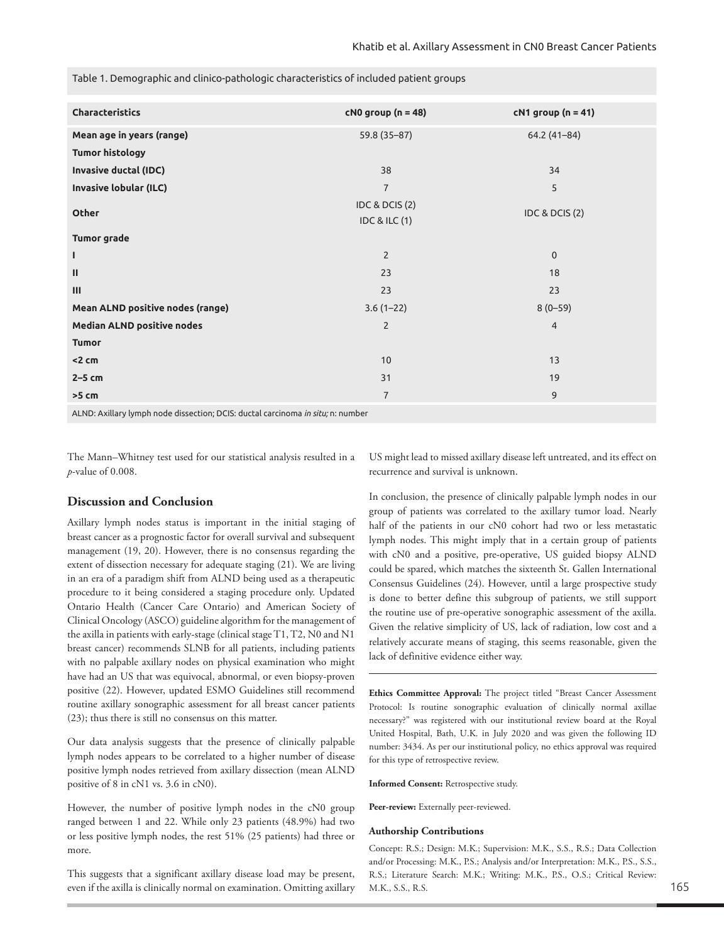Table 1. Demographic and clinico-pathologic characteristics of included patient groups

| Characteristics                                                                 | $cN0$ group (n = 48)                                  | $cN1$ group (n = 41) |  |
|---------------------------------------------------------------------------------|-------------------------------------------------------|----------------------|--|
| Mean age in years (range)                                                       | 59.8 (35-87)                                          | $64.2(41-84)$        |  |
| <b>Tumor histology</b>                                                          |                                                       |                      |  |
| Invasive ductal (IDC)                                                           | 38                                                    | 34                   |  |
| <b>Invasive lobular (ILC)</b>                                                   | $\overline{7}$                                        | 5                    |  |
| <b>Other</b>                                                                    | <b>IDC &amp; DCIS (2)</b><br><b>IDC &amp; ILC (1)</b> | IDC & DCIS (2)       |  |
| <b>Tumor grade</b>                                                              |                                                       |                      |  |
| ı                                                                               | $\overline{2}$                                        | $\mathbf 0$          |  |
| Ш                                                                               | 23                                                    | 18                   |  |
| Ш                                                                               | 23                                                    | 23                   |  |
| Mean ALND positive nodes (range)                                                | $3.6(1-22)$                                           | $8(0-59)$            |  |
| <b>Median ALND positive nodes</b>                                               | $\overline{2}$                                        | $\overline{4}$       |  |
| <b>Tumor</b>                                                                    |                                                       |                      |  |
| < 2 cm                                                                          | 10                                                    | 13                   |  |
| $2-5$ cm                                                                        | 31                                                    | 19                   |  |
| $>5$ cm                                                                         | $\overline{7}$                                        | 9                    |  |
| ALND: Axillary lymph node dissection; DCIS: ductal carcinoma in situ; n: number |                                                       |                      |  |

The Mann–Whitney test used for our statistical analysis resulted in a *p*-value of 0.008.

## **Discussion and Conclusion**

Axillary lymph nodes status is important in the initial staging of breast cancer as a prognostic factor for overall survival and subsequent management (19, 20). However, there is no consensus regarding the extent of dissection necessary for adequate staging (21). We are living in an era of a paradigm shift from ALND being used as a therapeutic procedure to it being considered a staging procedure only. Updated Ontario Health (Cancer Care Ontario) and American Society of Clinical Oncology (ASCO) guideline algorithm for the management of the axilla in patients with early-stage (clinical stage T1, T2, N0 and N1 breast cancer) recommends SLNB for all patients, including patients with no palpable axillary nodes on physical examination who might have had an US that was equivocal, abnormal, or even biopsy-proven positive (22). However, updated ESMO Guidelines still recommend routine axillary sonographic assessment for all breast cancer patients (23); thus there is still no consensus on this matter.

Our data analysis suggests that the presence of clinically palpable lymph nodes appears to be correlated to a higher number of disease positive lymph nodes retrieved from axillary dissection (mean ALND positive of 8 in cN1 vs. 3.6 in cN0).

However, the number of positive lymph nodes in the cN0 group ranged between 1 and 22. While only 23 patients (48.9%) had two or less positive lymph nodes, the rest 51% (25 patients) had three or more.

This suggests that a significant axillary disease load may be present, even if the axilla is clinically normal on examination. Omitting axillary

US might lead to missed axillary disease left untreated, and its effect on recurrence and survival is unknown.

In conclusion, the presence of clinically palpable lymph nodes in our group of patients was correlated to the axillary tumor load. Nearly half of the patients in our cN0 cohort had two or less metastatic lymph nodes. This might imply that in a certain group of patients with cN0 and a positive, pre-operative, US guided biopsy ALND could be spared, which matches the sixteenth St. Gallen International Consensus Guidelines (24). However, until a large prospective study is done to better define this subgroup of patients, we still support the routine use of pre-operative sonographic assessment of the axilla. Given the relative simplicity of US, lack of radiation, low cost and a relatively accurate means of staging, this seems reasonable, given the lack of definitive evidence either way.

**Ethics Committee Approval:** The project titled "Breast Cancer Assessment Protocol: Is routine sonographic evaluation of clinically normal axillae necessary?" was registered with our institutional review board at the Royal United Hospital, Bath, U.K. in July 2020 and was given the following ID number: 3434. As per our institutional policy, no ethics approval was required for this type of retrospective review.

**Informed Consent:** Retrospective study.

Peer-review: Externally peer-reviewed.

#### **Authorship Contributions**

Concept: R.S.; Design: M.K.; Supervision: M.K., S.S., R.S.; Data Collection and/or Processing: M.K., P.S.; Analysis and/or Interpretation: M.K., P.S., S.S., R.S.; Literature Search: M.K.; Writing: M.K., P.S., O.S.; Critical Review: M.K., S.S., R.S.